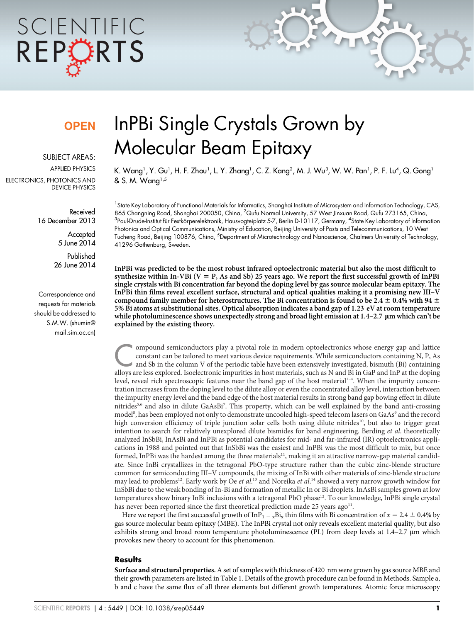# SCIENTIFIC REPORTS

### **OPEN**

SUBJECT AREAS: APPLIED PHYSICS

ELECTRONICS, PHOTONICS AND DEVICE PHYSICS

> Received 16 December 2013

> > **Accepted** 5 June 2014

Published 26 June 2014

Correspondence and requests for materials should be addressed to S.M.W. (shumin@ mail.sim.ac.cn)

## InPBi Single Crystals Grown by Molecular Beam Epitaxy

K. Wang', Y. Gu', H. F. Zhou', L. Y. Zhang', C. Z. Kang $^2$ , M. J. Wu $^3$ , W. W. Pan', P. F. Lu $^4$ , Q. Gong' & S. M. Wang1,5

<sup>1</sup>State Key Laboratory of Functional Materials for Informatics, Shanghai Institute of Microsystem and Information Technology, CAS, 865 Changning Road, Shanghai 200050, China, <sup>2</sup>Qufu Normal University, 57 West Jinxuan Road, Qufu 273165, China, <sup>3</sup>Paul-Drude-Institut für Festkörperelektronik, Hausvogteiplatz 5-7, Berlin D-10117, Germany, <sup>4</sup>State Key Laboratory of Information Photonics and Optical Communications, Ministry of Education, Beijing University of Posts and Telecommunications, 10 West Tucheng Road, Beijing 100876, China, <sup>5</sup>Department of Microtechnology and Nanoscience, Chalmers University of Technology, 41296 Gothenburg, Sweden.

InPBi was predicted to be the most robust infrared optoelectronic material but also the most difficult to synthesize within In-VBi ( $V = P$ , As and Sb) 25 years ago. We report the first successful growth of InPBi single crystals with Bi concentration far beyond the doping level by gas source molecular beam epitaxy. The InPBi thin films reveal excellent surface, structural and optical qualities making it a promising new III–V compound family member for heterostructures. The Bi concentration is found to be 2.4  $\pm$  0.4% with 94  $\pm$ 5% Bi atoms at substitutional sites. Optical absorption indicates a band gap of 1.23 eV at room temperature while photoluminescence shows unexpectedly strong and broad light emission at 1.4–2.7 µm which can't be explained by the existing theory.

Compound semiconductors play a pivotal role in modern optoelectronics whose energy gap and lattice<br>
constant can be tailored to meet various device requirements. While semiconductors containing N, P, As<br>
and Sb in the colu constant can be tailored to meet various device requirements. While semiconductors containing N, P, As alloys are less explored. Isoelectronic impurities in host materials, such as N and Bi in GaP and InP at the doping level, reveal rich spectroscopic features near the band gap of the host material<sup>1-4</sup>. When the impurity concentration increases from the doping level to the dilute alloy or even the concentrated alloy level, interaction between the impurity energy level and the band edge of the host material results in strong band gap bowing effect in dilute nitrides<sup>5,6</sup> and also in dilute GaAsBi<sup>7</sup>. This property, which can be well explained by the band anti-crossing model<sup>8</sup>, has been employed not only to demonstrate uncooled high-speed telecom lasers on GaAs<sup>9</sup> and the record high conversion efficiency of triple junction solar cells both using dilute nitrides<sup>10</sup>, but also to trigger great intention to search for relatively unexplored dilute bismides for band engineering. Berding et al. theoretically analyzed InSbBi, InAsBi and InPBi as potential candidates for mid- and far-infrared (IR) optoelectronics applications in 1988 and pointed out that InSbBi was the easiest and InPBi was the most difficult to mix, but once formed, InPBi was the hardest among the three materials<sup>11</sup>, making it an attractive narrow-gap material candidate. Since InBi crystallizes in the tetragonal PbO-type structure rather than the cubic zinc-blende structure common for semiconducting III–V compounds, the mixing of InBi with other materials of zinc-blende structure may lead to problems<sup>12</sup>. Early work by Oe et al.<sup>13</sup> and Noreika et al.<sup>14</sup> showed a very narrow growth window for InSbBi due to the weak bonding of In-Bi and formation of metallic In or Bi droplets. InAsBi samples grown at low temperatures show binary InBi inclusions with a tetragonal PbO phase<sup>12</sup>. To our knowledge, InPBi single crystal has never been reported since the first theoretical prediction made 25 years ago<sup>11</sup>.

Here we report the first successful growth of  $InP_{1-x}Bi_x$  thin films with Bi concentration of  $x = 2.4 \pm 0.4\%$  by gas source molecular beam epitaxy (MBE). The InPBi crystal not only reveals excellent material quality, but also exhibits strong and broad room temperature photoluminescence (PL) from deep levels at 1.4–2.7 μm which provokes new theory to account for this phenomenon.

#### **Results**

Surface and structural properties.A set of samples with thickness of 420 nm were grown by gas source MBE and their growth parameters are listed in Table 1. Details of the growth procedure can be found in Methods. Sample a, b and c have the same flux of all three elements but different growth temperatures. Atomic force microscopy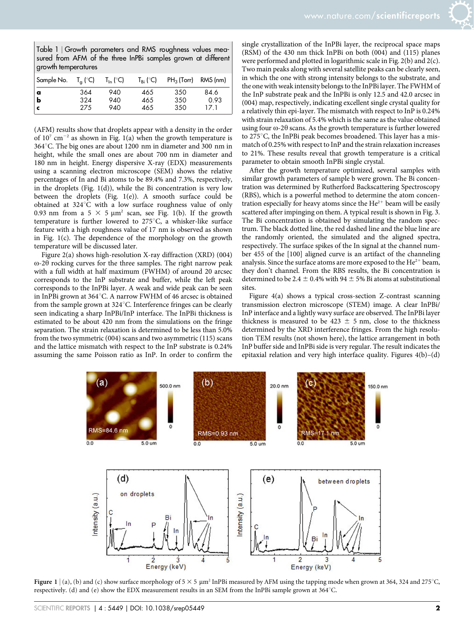Table 1 <sup>|</sup> Growth parameters and RMS roughness values measured from AFM of the three InPBi samples grown at different growth temperatures

| Sample No.                 | $T_a$ (°C)        | $T_{\text{In}}$ (°C) | $T_{\text{Bi}}$ (°C) | $PH_3$ (Torr) RMS (nm) |                      |
|----------------------------|-------------------|----------------------|----------------------|------------------------|----------------------|
| $\int_{b}^{\alpha}$<br>l c | 364<br>324<br>275 | 940<br>940<br>940    | 465<br>465<br>465    | 350<br>350<br>350      | 84.6<br>0.93<br>17.1 |

(AFM) results show that droplets appear with a density in the order of  $10^7$  cm<sup>-2</sup> as shown in Fig. 1(a) when the growth temperature is 364°C. The big ones are about 1200 nm in diameter and 300 nm in height, while the small ones are about 700 nm in diameter and 180 nm in height. Energy dispersive X-ray (EDX) measurements using a scanning electron microscope (SEM) shows the relative percentages of In and Bi atoms to be 89.4% and 7.3%, respectively, in the droplets (Fig. 1(d)), while the Bi concentration is very low between the droplets (Fig. 1(e)). A smooth surface could be obtained at  $324^{\circ}$ C with a low surface roughness value of only 0.93 nm from a 5  $\times$  5  $\mu$ m<sup>2</sup> scan, see Fig. 1(b). If the growth temperature is further lowered to  $275^{\circ}$ C, a whisker-like surface feature with a high roughness value of 17 nm is observed as shown in Fig. 1(c). The dependence of the morphology on the growth temperature will be discussed later.

Figure 2(a) shows high-resolution X-ray diffraction (XRD) (004)  $\omega$ -2 $\theta$  rocking curves for the three samples. The right narrow peak with a full width at half maximum (FWHM) of around 20 arcsec corresponds to the InP substrate and buffer, while the left peak corresponds to the InPBi layer. A weak and wide peak can be seen in InPBi grown at  $364^{\circ}$ C. A narrow FWHM of 46 arcsec is obtained from the sample grown at  $324^{\circ}$ C. Interference fringes can be clearly seen indicating a sharp InPBi/InP interface. The InPBi thickness is estimated to be about 420 nm from the simulations on the fringe separation. The strain relaxation is determined to be less than 5.0% from the two symmetric (004) scans and two asymmetric (115) scans and the lattice mismatch with respect to the InP substrate is 0.24% assuming the same Poisson ratio as InP. In order to confirm the single crystallization of the InPBi layer, the reciprocal space maps (RSM) of the 430 nm thick InPBi on both (004) and (115) planes were performed and plotted in logarithmic scale in Fig. 2(b) and 2(c). Two main peaks along with several satellite peaks can be clearly seen, in which the one with strong intensity belongs to the substrate, and the one with weak intensity belongs to the InPBi layer. The FWHM of the InP substrate peak and the InPBi is only 12.5 and 42.0 arcsec in (004) map, respectively, indicating excellent single crystal quality for a relatively thin epi-layer. The mismatch with respect to InP is 0.24% with strain relaxation of 5.4% which is the same as the value obtained using four  $\omega$ -2 $\theta$  scans. As the growth temperature is further lowered to  $275^{\circ}$ C, the InPBi peak becomes broadened. This layer has a mismatch of 0.25% with respect to InP and the strain relaxation increases to 21%. These results reveal that growth temperature is a critical parameter to obtain smooth InPBi single crystal.

After the growth temperature optimized, several samples with similar growth parameters of sample b were grown. The Bi concentration was determined by Rutherford Backscattering Spectroscopy (RBS), which is a powerful method to determine the atom concentration especially for heavy atoms since the  $He^{2+}$  beam will be easily scattered after impinging on them. A typical result is shown in Fig. 3. The Bi concentration is obtained by simulating the random spectrum. The black dotted line, the red dashed line and the blue line are the randomly oriented, the simulated and the aligned spectra, respectively. The surface spikes of the In signal at the channel number 455 of the [100] aligned curve is an artifact of the channeling analysis. Since the surface atoms are more exposed to the  $He^{2+}$  beam, they don't channel. From the RBS results, the Bi concentration is determined to be 2.4  $\pm$  0.4% with 94  $\pm$  5% Bi atoms at substitutional sites.

Figure 4(a) shows a typical cross-section Z-contrast scanning transmission electron microscope (STEM) image. A clear InPBi/ InP interface and a lightly wavy surface are observed. The InPBi layer thickness is measured to be  $423 \pm 5$  nm, close to the thickness determined by the XRD interference fringes. From the high resolution TEM results (not shown here), the lattice arrangement in both InP buffer side and InPBi side is very regular. The result indicates the epitaxial relation and very high interface quality. Figures 4(b)–(d)



Figure 1 | (a), (b) and (c) show surface morphology of  $5 \times 5 \mu m^2$  InPBi measured by AFM using the tapping mode when grown at 364, 324 and 275°C, respectively. (d) and (e) show the EDX measurement results in an SEM from the InPBi sample grown at 364°C.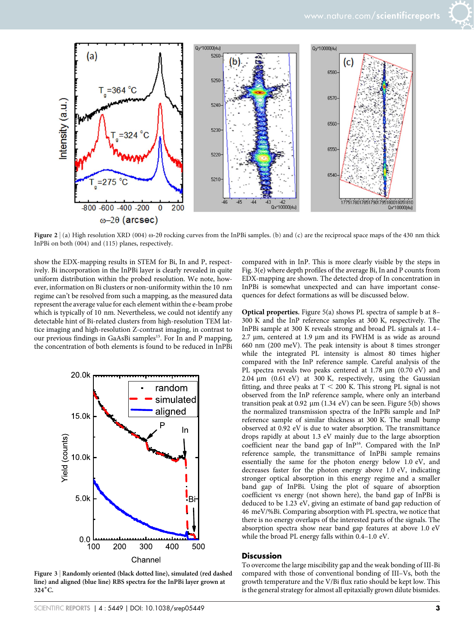

Figure 2 | (a) High resolution XRD (004)  $\omega$ -2 $\theta$  rocking curves from the InPBi samples. (b) and (c) are the reciprocal space maps of the 430 nm thick InPBi on both (004) and (115) planes, respectively.

show the EDX-mapping results in STEM for Bi, In and P, respectively. Bi incorporation in the InPBi layer is clearly revealed in quite uniform distribution within the probed resolution. We note, however, information on Bi clusters or non-uniformity within the 10 nm regime can't be resolved from such a mapping, as the measured data represent the average value for each element within the e-beam probe which is typically of 10 nm. Nevertheless, we could not identify any detectable hint of Bi-related clusters from high-resolution TEM lattice imaging and high-resolution Z-contrast imaging, in contrast to our previous findings in GaAsBi samples<sup>15</sup>. For In and P mapping, the concentration of both elements is found to be reduced in InPBi



Figure 3 <sup>|</sup> Randomly oriented (black dotted line), simulated (red dashed line) and aligned (blue line) RBS spectra for the InPBi layer grown at 324°C.

compared with in InP. This is more clearly visible by the steps in Fig. 3(e) where depth profiles of the average Bi, In and P counts from EDX-mapping are shown. The detected drop of In concentration in InPBi is somewhat unexpected and can have important consequences for defect formations as will be discussed below.

Optical properties. Figure 5(a) shows PL spectra of sample b at 8– 300 K and the InP reference samples at 300 K, respectively. The InPBi sample at 300 K reveals strong and broad PL signals at 1.4–  $2.7 \mu m$ , centered at 1.9  $\mu m$  and its FWHM is as wide as around 660 nm (200 meV). The peak intensity is about 8 times stronger while the integrated PL intensity is almost 80 times higher compared with the InP reference sample. Careful analysis of the PL spectra reveals two peaks centered at 1.78 µm (0.70 eV) and  $2.04 \mu m$  (0.61 eV) at 300 K, respectively, using the Gaussian fitting, and three peaks at  $T < 200$  K. This strong PL signal is not observed from the InP reference sample, where only an interband transition peak at 0.92  $\mu$ m (1.34 eV) can be seen. Figure 5(b) shows the normalized transmission spectra of the InPBi sample and InP reference sample of similar thickness at 300 K. The small bump observed at 0.92 eV is due to water absorption. The transmittance drops rapidly at about 1.3 eV mainly due to the large absorption coefficient near the band gap of InP<sup>16</sup>. Compared with the InP reference sample, the transmittance of InPBi sample remains essentially the same for the photon energy below 1.0 eV, and decreases faster for the photon energy above 1.0 eV, indicating stronger optical absorption in this energy regime and a smaller band gap of InPBi. Using the plot of square of absorption coefficient vs energy (not shown here), the band gap of InPBi is deduced to be 1.23 eV, giving an estimate of band gap reduction of 46 meV/%Bi. Comparing absorption with PL spectra, we notice that there is no energy overlaps of the interested parts of the signals. The absorption spectra show near band gap features at above 1.0 eV while the broad PL energy falls within 0.4–1.0 eV.

#### **Discussion**

To overcome the large miscibility gap and the weak bonding of III-Bi compared with those of conventional bonding of III–Vs, both the growth temperature and the V/Bi flux ratio should be kept low. This is the general strategy for almost all epitaxially grown dilute bismides.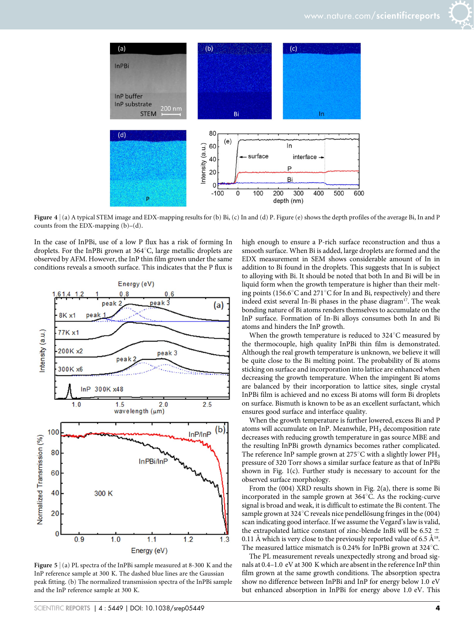

Figure 4 | (a) A typical STEM image and EDX-mapping results for (b) Bi, (c) In and (d) P. Figure (e) shows the depth profiles of the average Bi, In and P counts from the EDX-mapping  $(b)$ – $(d)$ .

In the case of InPBi, use of a low P flux has a risk of forming In droplets. For the InPBi grown at  $364^{\circ}$ C, large metallic droplets are observed by AFM. However, the InP thin film grown under the same conditions reveals a smooth surface. This indicates that the P flux is



Figure 5 | (a) PL spectra of the InPBi sample measured at 8-300 K and the InP reference sample at 300 K. The dashed blue lines are the Gaussian peak fitting. (b) The normalized transmission spectra of the InPBi sample and the InP reference sample at 300 K.

high enough to ensure a P-rich surface reconstruction and thus a smooth surface. When Bi is added, large droplets are formed and the EDX measurement in SEM shows considerable amount of In in addition to Bi found in the droplets. This suggests that In is subject to alloying with Bi. It should be noted that both In and Bi will be in liquid form when the growth temperature is higher than their melting points (156.6 $\mathrm{C}$  and 271 $\mathrm{C}$  for In and Bi, respectively) and there indeed exist several In-Bi phases in the phase diagram<sup>17</sup>. The weak bonding nature of Bi atoms renders themselves to accumulate on the InP surface. Formation of In-Bi alloys consumes both In and Bi atoms and hinders the InP growth.

When the growth temperature is reduced to  $324^{\circ}$ C measured by the thermocouple, high quality InPBi thin film is demonstrated. Although the real growth temperature is unknown, we believe it will be quite close to the Bi melting point. The probability of Bi atoms sticking on surface and incorporation into lattice are enhanced when decreasing the growth temperature. When the impingent Bi atoms are balanced by their incorporation to lattice sites, single crystal InPBi film is achieved and no excess Bi atoms will form Bi droplets on surface. Bismuth is known to be as an excellent surfactant, which ensures good surface and interface quality.

When the growth temperature is further lowered, excess Bi and P atoms will accumulate on InP. Meanwhile, PH<sub>3</sub> decomposition rate decreases with reducing growth temperature in gas source MBE and the resulting InPBi growth dynamics becomes rather complicated. The reference InP sample grown at 275°C with a slightly lower  $PH_3$ pressure of 320 Torr shows a similar surface feature as that of InPBi shown in Fig. 1(c). Further study is necessary to account for the observed surface morphology.

From the (004) XRD results shown in Fig. 2(a), there is some Bi incorporated in the sample grown at  $364^{\circ}$ C. As the rocking-curve signal is broad and weak, it is difficult to estimate the Bi content. The sample grown at 324 $\degree$ C reveals nice pendellösung fringes in the (004) scan indicating good interface. If we assume the Vegard's law is valid, the extrapolated lattice constant of zinc-blende InBi will be 6.52  $\pm$ 0.11 Å which is very close to the previously reported value of 6.5  $\AA^{18}$ . The measured lattice mismatch is 0.24% for InPBi grown at  $324^{\circ}$ C.

The PL measurement reveals unexpectedly strong and broad signals at 0.4–1.0 eV at 300 K which are absent in the reference InP thin film grown at the same growth conditions. The absorption spectra show no difference between InPBi and InP for energy below 1.0 eV but enhanced absorption in InPBi for energy above 1.0 eV. This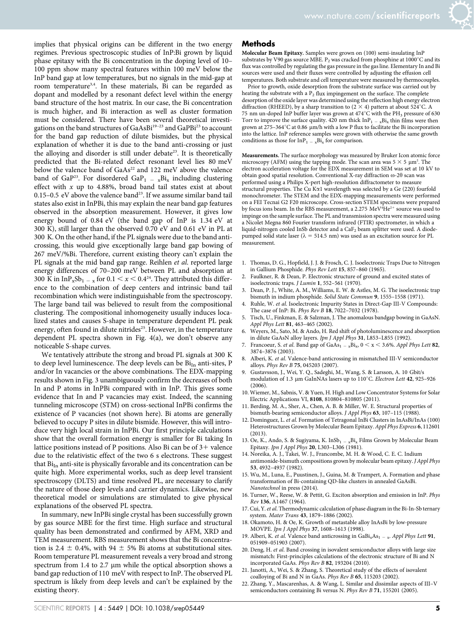implies that physical origins can be different in the two energy regimes. Previous spectroscopic studies of InP:Bi grown by liquid phase epitaxy with the Bi concentration in the doping level of 10– 100 ppm show many spectral features within 100 meV below the InP band gap at low temperatures, but no signals in the mid-gap at room temperature<sup>3,4</sup>. In these materials, Bi can be regarded as dopant and modelled by a resonant defect level within the energy band structure of the host matrix. In our case, the Bi concentration is much higher, and Bi interaction as well as cluster formation must be considered. There have been several theoretical investigations on the band structures of GaAsBi<sup>19-23</sup> and GaPBi<sup>23</sup> to account for the band gap reduction of dilute bismides, but the physical explanation of whether it is due to the band anti-crossing or just the alloying and disorder is still under debate<sup>23</sup>. It is theoretically predicted that the Bi-related defect resonant level lies 80 meV below the valence band of GaAs<sup>22</sup> and 122 meV above the valence band of GaP<sup>23</sup>. For disordered GaP<sub>1</sub> -  $_{\text{x}}$ Bi<sub>x</sub> including clustering effect with  $x$  up to 4.88%, broad band tail states exist at about 0.15–0.5 eV above the valence band<sup>23</sup>. If we assume similar band tail states also exist in InPBi, this may explain the near band gap features observed in the absorption measurement. However, it gives low energy bound of 0.84 eV (the band gap of InP is 1.34 eV at 300 K), still larger than the observed 0.70 eV and 0.61 eV in PL at 300 K. On the other hand, if the PL signals were due to the band anticrossing, this would give exceptionally large band gap bowing of 267 meV/%Bi. Therefore, current existing theory can't explain the PL signals at the mid band gap range. Reihlen et al. reported large energy differences of 70–200 meV between PL and absorption at 300 K in InP<sub>x</sub>Sb<sub>1</sub> – <sub>x</sub> for 0.1 < x < 0.4<sup>24</sup>. They attributed this difference to the combination of deep centers and intrinsic band tail recombination which were indistinguishable from the spectroscopy. The large band tail was believed to result from the compositional clustering. The compositional inhomogeneity usually induces localized states and causes S-shape in temperature dependent PL peak energy, often found in dilute nitrides<sup>25</sup>. However, in the temperature dependent PL spectra shown in Fig. 4(a), we don't observe any noticeable S-shape curves.

We tentatively attribute the strong and broad PL signals at 300 K to deep level luminescence. The deep levels can be  $Bi_{In}$  anti-sites, P and/or In vacancies or the above combinations. The EDX-mapping results shown in Fig. 3 unambiguously confirm the decreases of both In and P atoms in InPBi compared with in InP. This gives some evidence that In and P vacancies may exist. Indeed, the scanning tunneling microscope (STM) on cross-sectional InPBi confirms the existence of P vacancies (not shown here). Bi atoms are generally believed to occupy P sites in dilute bismide. However, this will introduce very high local strain in InPBi. Our first principle calculations show that the overall formation energy is smaller for Bi taking In lattice positions instead of P positions. Also Bi can be of  $3+$  valence due to the relativistic effect of the two 6 s electrons. These suggest that  $Bi_{In}$  anti-site is physically favorable and its concentration can be quite high. More experimental works, such as deep level transient spectroscopy (DLTS) and time resolved PL, are necessary to clarify the nature of those deep levels and carrier dynamics. Likewise, new theoretical model or simulations are stimulated to give physical explanations of the observed PL spectra.

In summary, new InPBi single crystal has been successfully grown by gas source MBE for the first time. High surface and structural quality has been demonstrated and confirmed by AFM, XRD and TEM measurement. RBS measurement shows that the Bi concentration is 2.4  $\pm$  0.4%, with 94  $\pm$  5% Bi atoms at substitutional sites. Room temperature PL measurement reveals a very broad and strong spectrum from  $1.4$  to  $2.7 \mu m$  while the optical absorption shows a band gap reduction of 110 meV with respect to InP. The observed PL spectrum is likely from deep levels and can't be explained by the existing theory.

#### Methods

Molecular Beam Epitaxy. Samples were grown on (100) semi-insulating InP substrates by V90 gas source MBE.  $P_2$  was cracked from phosphine at 1000°C and its flux was controlled by regulating the gas pressure in the gas line. Elementary In and Bi sources were used and their fluxes were controlled by adjusting the effusion cell temperatures. Both substrate and cell temperature were measured by thermocouples.

Prior to growth, oxide desorption from the substrate surface was carried out by heating the substrate with a  $P_2$  flux impingement on the surface. The complete desorption of the oxide layer was determined using the reflection high energy electron diffraction (RHEED), by a sharp transition to (2  $\times$  4) pattern at about 524°C. A 75 nm un-doped InP buffer layer was grown at  $474^{\circ}$ C with the PH<sub>3</sub> pressure of 630 Torr to improve the surface quality. 420 nm thick  $\text{InP}_{1-x} \text{Bi}_x$  thin films were then grown at 275–364°C at 0.86  $\,\rm \mu m/h$  with a low P flux to facilitate the Bi incorporation into the lattice. InP reference samples were grown with otherwise the same growth conditions as those for  $InP<sub>1</sub> = xBi<sub>x</sub>$  for comparison.

Measurements. The surface morphology was measured by Bruker Icon atomic force microscopy (AFM) using the tapping mode. The scan area was  $5 \times 5 \mu m^2$ . The electron acceleration voltage for the EDX measurement in SEM was set at 10 kV to obtain good spatial resolution. Conventional X-ray diffraction  $\omega$ -2 $\theta$  scan was performed using a Philips X-pert high-resolution diffractometer to measure structural properties. The Cu K $\alpha$ 1 wavelength was selected by a Ge (220) fourfold monochrometer. The STEM and the EDX-mapping measurements were performed on a FEI Tecnai G2 F20 microscope. Cross-section STEM specimens were prepared by focus ions beam. In the RBS measurement, a 2.275 MeV<sup>4</sup>He<sup>2+</sup> source was used to impinge on the sample surface. The PL and transmission spectra were measured using a Nicolet Megna 860 Fourier transform infrared (FTIR) spectrometer, in which a liquid-nitrogen cooled InSb detector and a CaF<sub>2</sub> beam splitter were used. A diodepumped solid state laser ( $\lambda = 514.5$  nm) was used as an excitation source for PL measurement.

- 1. Thomas, D. G., Hopfield, J. J. & Frosch, C. J. Isoelectronic Traps Due to Nitrogen in Gallium Phosphide. Phys Rev Lett 15, 857–860 (1965).
- 2. Faulkner, R. & Dean, P. Electronic structure of ground and excited states of isoelectronic traps. J Lumin 1, 552–561 (1970).
- 3. Dean, P. J., White, A. M., Williams, E. W. & Astles, M. G. The isoelectronic trap bismuth in indium phosphide. Solid State Commun 9, 1555–1558 (1971).
- Ruhle, W. et al. Isoelectronic Impurity States in Direct-Gap III-V Compounds: The case of InP: Bi. Phys Rev B 18, 7022–7032 (1978).
- Tisch, U., Finkman, E. & Salzman, J. The anomalous bandgap bowing in GaAsN. Appl Phys Lett 81, 463–465 (2002).
- 6. Weyers, M., Sato, M. & Ando, H. Red shift of photoluminescence and absorption in dilute GaAsN alloy layers. Jpn J Appl Phys 31, L853–L855 (1992).
- 7. Francoeur, S. et al. Band gap of  $GaAs_{1-x}Bi_{x}$ ,  $0 < x < 3.6\%$ . Appl Phys Lett 82, 3874–3876 (2003).
- 8. Alberi, K. et al. Valence-band anticrossing in mismatched III-V semiconductor alloys. Phys Rev B 75, 045203 (2007).
- 9. Gustavsson, J., Wei, Y. Q., Sadeghi, M., Wang, S. & Larsson, A. 10 Gbit/s modulation of 1.3 µm GaInNAs lasers up to 110°C. Electron Lett 42, 925-926 (2006).
- 10. Wiemer, M., Sabnis, V. & Yuen, H. High and Low Concentrator Systems for Solar Electric Applications VI, 8108, 810804–810805 (2011).
- 11. Berding, M. A., Sher, A., Chen, A. B. & Miller, W. E. Structural properties of bismuth-bearing semiconductor alloys. J Appl Phys 63, 107–115 (1988).
- 12. Dominguez, L. et al. Formation of Tetragonal InBi Clusters in InAsBi/InAs (100) Heterostructures Grown by Molecular Beam Epitaxy. Appl Phys Express 6, 112601 (2013).
- 13. Oe, K., Ando, S. & Sugiyama, K. InSb<sub>1</sub>  $\frac{1}{x}$  xBi<sub>x</sub> Films Grown by Molecular Beam Epitaxy. Jpn J Appl Phys 20, L303–L306 (1981).
- 14. Noreika, A. J., Takei, W. J., Francombe, M. H. & Wood, C. E. C. Indium antimonide-bismuth compositions grown by molecular beam epitaxy. J Appl Phys 53, 4932–4937 (1982).
- 15. Wu, M., Luna, E., Puustinen, J., Guina, M. & Trampert, A. Formation and phase transformation of Bi-containing QD-like clusters in annealed GaAsBi. Nanotechnol in press (2014).
- 16. Turner, W., Reese, W. & Pettit, G. Exciton absorption and emission in InP. Phys Rev 136, A1467 (1964).
- 17. Cui, Y. et al. Thermodynamic calculation of phase diagram in the Bi-In-Sb ternary system. Mater Trans 43, 1879–1886 (2002).
- 18. Okamoto, H. & Oe, K. Growth of metastable alloy InAsBi by low-pressure MOVPE. Jpn J Appl Phys 37, 1608–1613 (1998).
- 19. Alberi, K. et al. Valence band anticrossing in  $GaBi_xAs_{1-x}$ . Appl Phys Lett 91, 051909–051903 (2007).
- 20. Deng, H. et al. Band crossing in isovalent semiconductor alloys with large size mismatch: First-principles calculations of the electronic structure of Bi and N incorporated GaAs. Phys Rev B 82, 193204 (2010).
- 21. Janotti, A., Wei, S. & Zhang, S. Theoretical study of the effects of isovalent coalloying of Bi and N in GaAs. Phys Rev B 65, 115203 (2002).
- 22. Zhang, Y., Mascarenhas, A. & Wang, L. Similar and dissimilar aspects of III–V semiconductors containing Bi versus N. Phys Rev B 71, 155201 (2005).